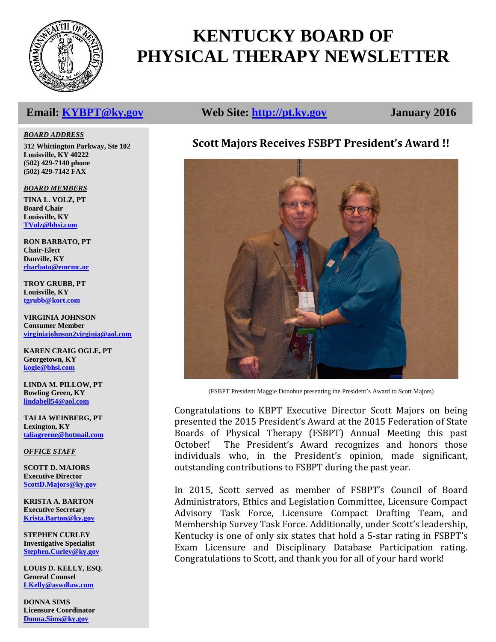

# **KENTUCKY BOARD OF PHYSICAL THERAPY NEWSLETTER**

#### *BOARD ADDRESS*

**312 Whittington Parkway, Ste 102 Louisville, KY 40222 (502) 429-7140 phone (502) 429-7142 FAX**

*BOARD MEMBERS*

**TINA L. VOLZ, PT Board Chair Louisville, KY [TVolz@bhsi.com](mailto:TVolz@bhsi.com)**

**RON BARBATO, PT Chair-Elect Danville, KY [rbarbato@emrmc.or](mailto:rbarbato@emrmc.or)**

**TROY GRUBB, PT Louisville, KY [tgrubb@kort.com](mailto:tgrubb@kort.com)**

**VIRGINIA JOHNSON Consumer Member [virginiajohnson2virginia@aol.com](mailto:vjohnson14769@yahoo.com)**

**KAREN CRAIG OGLE, PT Georgetown, KY [kogle@bhsi.com](mailto:kogle@bhsi.com)**

**LINDA M. PILLOW, PT Bowling Green, KY [lindabell54@aol.com](mailto:blainpt@netzero.net)**

**TALIA WEINBERG, PT Lexington, KY [taliagreene@hotmail.com](mailto:taliagreene@hotmail.com)**

*OFFICE STAFF*

**SCOTT D. MAJORS Executive Director [ScottD.Majors@ky.gov](mailto:ScottD.Majors@ky.gov)**

**KRISTA A. BARTON Executive Secretary [Krista.Barton@ky.gov](mailto:Krista.Barton@ky.gov)**

**STEPHEN CURLEY Investigative Specialist [Stephen.Curley@ky.gov](mailto:Stephen.Curley@ky.gov)**

**LOUIS D. KELLY, ESQ. General Counsel [LKelly@aswdlaw.com](mailto:LKelly@aswdlaw.com)**

**DONNA SIMS Licensure Coordinator [Donna.Sims@ky.gov](mailto:Donna.Sims@ky.gov)**

# **Email: [KYBPT@ky.gov](mailto:KYBPT@ky.gov) Web Site: [http://pt.ky.gov](http://pt.ky.gov/) January 2016**

# **Scott Majors Receives FSBPT President's Award !!**



(FSBPT President Maggie Donohue presenting the President's Award to Scott Majors)

Congratulations to KBPT Executive Director Scott Majors on being presented the 2015 President's Award at the 2015 Federation of State Boards of Physical Therapy (FSBPT) Annual Meeting this past<br>October! The President's Award recognizes and honors those The President's Award recognizes and honors those individuals who, in the President's opinion, made significant, outstanding contributions to FSBPT during the past year.

In 2015, Scott served as member of FSBPT's Council of Board Administrators, Ethics and Legislation Committee, Licensure Compact Advisory Task Force, Licensure Compact Drafting Team, and Membership Survey Task Force. Additionally, under Scott's leadership, Kentucky is one of only six states that hold a 5-star rating in FSBPT's Exam Licensure and Disciplinary Database Participation rating. Congratulations to Scott, and thank you for all of your hard work!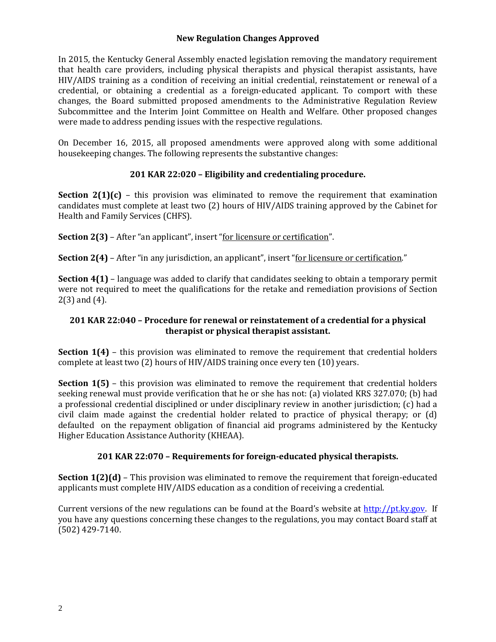### **New Regulation Changes Approved**

In 2015, the Kentucky General Assembly enacted legislation removing the mandatory requirement that health care providers, including physical therapists and physical therapist assistants, have HIV/AIDS training as a condition of receiving an initial credential, reinstatement or renewal of a credential, or obtaining a credential as a foreign-educated applicant. To comport with these changes, the Board submitted proposed amendments to the Administrative Regulation Review Subcommittee and the Interim Joint Committee on Health and Welfare. Other proposed changes were made to address pending issues with the respective regulations.

On December 16, 2015, all proposed amendments were approved along with some additional housekeeping changes. The following represents the substantive changes:

### **201 KAR 22:020 – Eligibility and credentialing procedure.**

**Section 2(1)(c)** – this provision was eliminated to remove the requirement that examination candidates must complete at least two (2) hours of HIV/AIDS training approved by the Cabinet for Health and Family Services (CHFS).

**Section 2(3)** – After "an applicant", insert "for licensure or certification".

**Section 2(4)** – After "in any jurisdiction, an applicant", insert "for licensure or certification."

**Section 4(1)** – language was added to clarify that candidates seeking to obtain a temporary permit were not required to meet the qualifications for the retake and remediation provisions of Section 2(3) and (4).

### **201 KAR 22:040 – Procedure for renewal or reinstatement of a credential for a physical therapist or physical therapist assistant.**

**Section 1(4)** – this provision was eliminated to remove the requirement that credential holders complete at least two (2) hours of HIV/AIDS training once every ten (10) years.

**Section 1(5)** – this provision was eliminated to remove the requirement that credential holders seeking renewal must provide verification that he or she has not: (a) violated KRS 327.070; (b) had a professional credential disciplined or under disciplinary review in another jurisdiction; (c) had a civil claim made against the credential holder related to practice of physical therapy; or (d) defaulted on the repayment obligation of financial aid programs administered by the Kentucky Higher Education Assistance Authority (KHEAA).

### **201 KAR 22:070 – Requirements for foreign-educated physical therapists.**

**Section 1(2)(d)** – This provision was eliminated to remove the requirement that foreign-educated applicants must complete HIV/AIDS education as a condition of receiving a credential.

Current versions of the new regulations can be found at the Board's website at  $\frac{http://pt.ky.gov.$  If you have any questions concerning these changes to the regulations, you may contact Board staff at (502) 429-7140.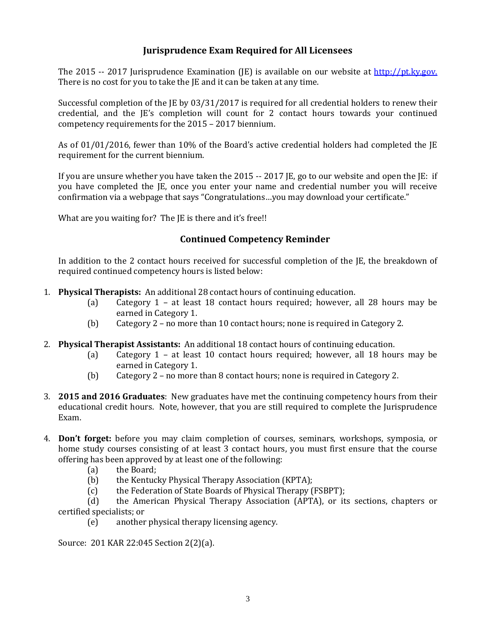# **Jurisprudence Exam Required for All Licensees**

The 2015 -- 2017 Jurisprudence Examination (JE) is available on our website at [http://pt.ky.gov.](http://pt.ky.gov/) There is no cost for you to take the JE and it can be taken at any time.

Successful completion of the JE by 03/31/2017 is required for all credential holders to renew their credential, and the JE's completion will count for 2 contact hours towards your continued competency requirements for the 2015 – 2017 biennium.

As of 01/01/2016, fewer than 10% of the Board's active credential holders had completed the JE requirement for the current biennium.

If you are unsure whether you have taken the 2015 -- 2017 JE, go to our website and open the JE: if you have completed the JE, once you enter your name and credential number you will receive confirmation via a webpage that says "Congratulations…you may download your certificate."

What are you waiting for? The JE is there and it's free!!

### **Continued Competency Reminder**

In addition to the 2 contact hours received for successful completion of the JE, the breakdown of required continued competency hours is listed below:

- 1. **Physical Therapists:** An additional 28 contact hours of continuing education.<br>(a) Category 1 at least 18 contact hours required; however, a
	- Category  $1$  at least 18 contact hours required; however, all 28 hours may be earned in Category 1.
	- (b) Category 2 no more than 10 contact hours; none is required in Category 2.
- 2. **Physical Therapist Assistants:** An additional 18 contact hours of continuing education.<br>(a) Category 1 at least 10 contact hours required; however, all 18 hou
	- Category  $1 at$  least 10 contact hours required; however, all 18 hours may be earned in Category 1.
	- (b) Category 2 no more than 8 contact hours; none is required in Category 2.
- 3. **2015 and 2016 Graduates**: New graduates have met the continuing competency hours from their educational credit hours. Note, however, that you are still required to complete the Jurisprudence Exam.
- 4. **Don't forget:** before you may claim completion of courses, seminars, workshops, symposia, or home study courses consisting of at least 3 contact hours, you must first ensure that the course offering has been approved by at least one of the following:<br>(a) the Board;
	-
	- (a) the Board;<br>(b) the Kentuc
	- (b) the Kentucky Physical Therapy Association (KPTA);<br>(c) the Federation of State Boards of Physical Therapy ( (c) the Federation of State Boards of Physical Therapy (FSBPT);<br>(d) the American Physical Therapy Association (APTA), or it

(d) the American Physical Therapy Association (APTA), or its sections, chapters or certified specialists; or<br>(e) another

another physical therapy licensing agency.

Source: 201 KAR 22:045 Section 2(2)(a).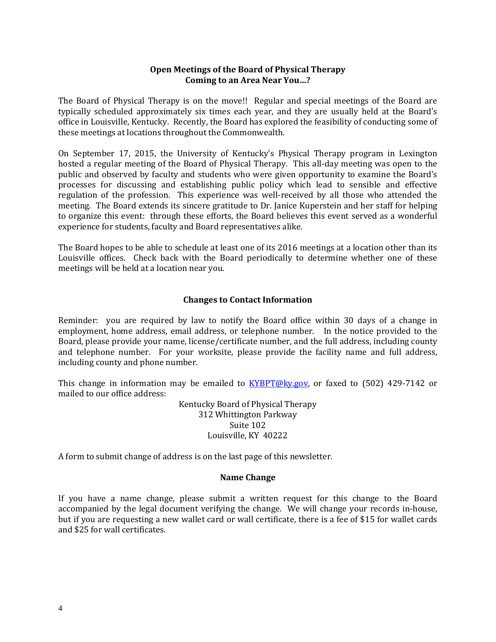#### **Open Meetings of the Board of Physical Therapy Coming to an Area Near You…?**

The Board of Physical Therapy is on the move!! Regular and special meetings of the Board are typically scheduled approximately six times each year, and they are usually held at the Board's office in Louisville, Kentucky. Recently, the Board has explored the feasibility of conducting some of these meetings at locations throughout the Commonwealth.

On September 17, 2015, the University of Kentucky's Physical Therapy program in Lexington hosted a regular meeting of the Board of Physical Therapy. This all-day meeting was open to the public and observed by faculty and students who were given opportunity to examine the Board's processes for discussing and establishing public policy which lead to sensible and effective regulation of the profession. This experience was well-received by all those who attended the meeting. The Board extends its sincere gratitude to Dr. Janice Kuperstein and her staff for helping to organize this event: through these efforts, the Board believes this event served as a wonderful experience for students, faculty and Board representatives alike.

The Board hopes to be able to schedule at least one of its 2016 meetings at a location other than its Louisville offices. Check back with the Board periodically to determine whether one of these meetings will be held at a location near you.

#### **Changes to Contact Information**

Reminder: you are required by law to notify the Board office within 30 days of a change in employment, home address, email address, or telephone number. In the notice provided to the Board, please provide your name, license/certificate number, and the full address, including county and telephone number. For your worksite, please provide the facility name and full address, including county and phone number.

This change in information may be emailed to **KYBPT@ky.gov**, or faxed to (502) 429-7142 or mailed to our office address:

> Kentucky Board of Physical Therapy 312 Whittington Parkway Suite 102 Louisville, KY 40222

A form to submit change of address is on the last page of this newsletter.

#### **Name Change**

If you have a name change, please submit a written request for this change to the Board accompanied by the legal document verifying the change. We will change your records in-house, but if you are requesting a new wallet card or wall certificate, there is a fee of \$15 for wallet cards and \$25 for wall certificates.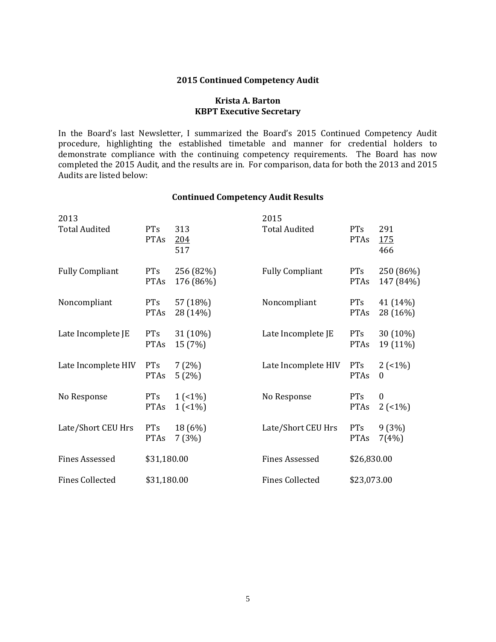#### **2015 Continued Competency Audit**

#### **Krista A. Barton KBPT Executive Secretary**

In the Board's last Newsletter, I summarized the Board's 2015 Continued Competency Audit procedure, highlighting the established timetable and manner for credential holders to demonstrate compliance with the continuing competency requirements. The Board has now completed the 2015 Audit, and the results are in. For comparison, data for both the 2013 and 2015 Audits are listed below:

#### **Continued Competency Audit Results**

| 2013                   |                           |                        | 2015                   |                           |                              |
|------------------------|---------------------------|------------------------|------------------------|---------------------------|------------------------------|
| <b>Total Audited</b>   | PTs<br><b>PTAs</b>        | 313<br>204<br>517      | <b>Total Audited</b>   | PTs<br><b>PTAs</b>        | 291<br><u>175</u><br>466     |
| <b>Fully Compliant</b> | <b>PTs</b><br><b>PTAs</b> | 256 (82%)<br>176 (86%) | <b>Fully Compliant</b> | <b>PTs</b><br><b>PTAs</b> | 250 (86%)<br>147 (84%)       |
| Noncompliant           | <b>PTs</b><br><b>PTAs</b> | 57 (18%)<br>28 (14%)   | Noncompliant           | <b>PTs</b><br><b>PTAs</b> | 41 (14%)<br>28 (16%)         |
| Late Incomplete JE     | <b>PTs</b><br><b>PTAs</b> | 31 (10%)<br>15 (7%)    | Late Incomplete JE     | PTs<br><b>PTAs</b>        | 30 (10%)<br>19 (11%)         |
| Late Incomplete HIV    | <b>PTs</b><br><b>PTAs</b> | 7(2%)<br>5(2%)         | Late Incomplete HIV    | <b>PTs</b><br><b>PTAs</b> | $2(-1%)$<br>$\theta$         |
| No Response            | <b>PTs</b><br><b>PTAs</b> | $1(1\%)$<br>1(51%)     | No Response            | <b>PTs</b><br><b>PTAs</b> | $\boldsymbol{0}$<br>$2(-1%)$ |
| Late/Short CEU Hrs     | <b>PTs</b><br><b>PTAs</b> | 18 (6%)<br>7(3%)       | Late/Short CEU Hrs     | <b>PTs</b><br><b>PTAs</b> | 9(3%)<br>7(4%)               |
| <b>Fines Assessed</b>  | \$31,180.00               |                        | <b>Fines Assessed</b>  | \$26,830.00               |                              |
| <b>Fines Collected</b> | \$31,180.00               |                        | <b>Fines Collected</b> | \$23,073.00               |                              |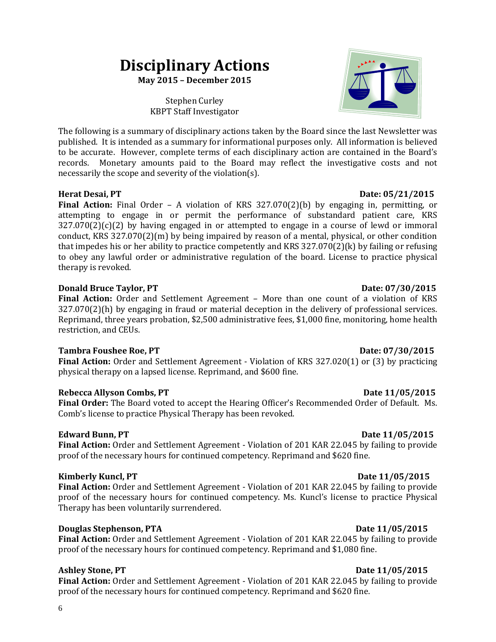# 6

# **Disciplinary Actions**

**May 2015 – December 2015**

Stephen Curley KBPT Staff Investigator

The following is a summary of disciplinary actions taken by the Board since the last Newsletter was published. It is intended as a summary for informational purposes only. All information is believed to be accurate. However, complete terms of each disciplinary action are contained in the Board's records. Monetary amounts paid to the Board may reflect the investigative costs and not necessarily the scope and severity of the violation(s).

### **Herat Desai, PT** Date: 05/21/2015

**Final Action:** Final Order – A violation of KRS 327.070(2)(b) by engaging in, permitting, or attempting to engage in or permit the performance of substandard patient care, KRS  $327.070(2)(c)(2)$  by having engaged in or attempted to engage in a course of lewd or immoral conduct, KRS 327.070(2)(m) by being impaired by reason of a mental, physical, or other condition that impedes his or her ability to practice competently and KRS 327.070(2)(k) by failing or refusing to obey any lawful order or administrative regulation of the board. License to practice physical therapy is revoked.

### **Donald Bruce Taylor, PT**  $D$  **Date: 07/30/2015**

Final Action: Order and Settlement Agreement - More than one count of a violation of KRS 327.070(2)(h) by engaging in fraud or material deception in the delivery of professional services. Reprimand, three years probation, \$2,500 administrative fees, \$1,000 fine, monitoring, home health restriction, and CEUs.

### **Tambra Foushee Roe, PT** 2008 2009 2015

**Final Action:** Order and Settlement Agreement - Violation of KRS 327.020(1) or (3) by practicing physical therapy on a lapsed license. Reprimand, and \$600 fine.

# **Rebecca Allyson Combs, PT** Date 11/05/2015

**Final Order:** The Board voted to accept the Hearing Officer's Recommended Order of Default. Ms. Comb's license to practice Physical Therapy has been revoked.

### **Edward Bunn, PT** Date 11/05/2015

**Final Action:** Order and Settlement Agreement - Violation of 201 KAR 22.045 by failing to provide proof of the necessary hours for continued competency. Reprimand and \$620 fine.

### **Kimberly Kuncl, PT**  $Dat{et{11/05/2015}}$

**Final Action:** Order and Settlement Agreement - Violation of 201 KAR 22.045 by failing to provide proof of the necessary hours for continued competency. Ms. Kuncl's license to practice Physical Therapy has been voluntarily surrendered.

# **Douglas Stephenson, PTA** Date 11/05/2015

**Final Action:** Order and Settlement Agreement - Violation of 201 KAR 22.045 by failing to provide proof of the necessary hours for continued competency. Reprimand and \$1,080 fine.

# Ashley Stone, PT Date 11/05/2015

**Final Action:** Order and Settlement Agreement - Violation of 201 KAR 22.045 by failing to provide proof of the necessary hours for continued competency. Reprimand and \$620 fine.

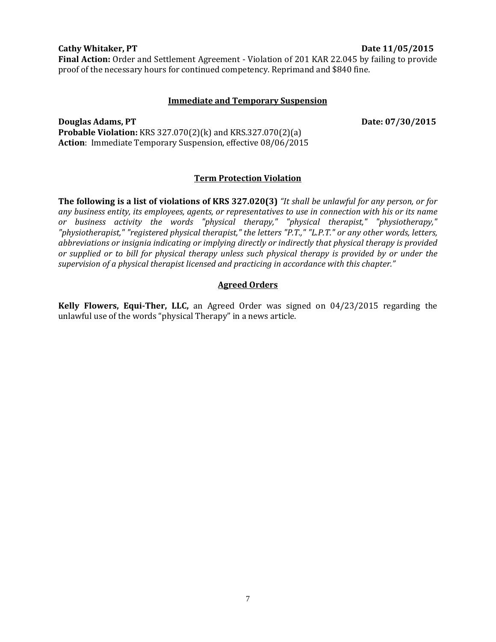#### 7

#### **Cathy Whitaker, PT** Date 11/05/2015

**Final Action:** Order and Settlement Agreement - Violation of 201 KAR 22.045 by failing to provide proof of the necessary hours for continued competency. Reprimand and \$840 fine.

#### **Immediate and Temporary Suspension**

**Douglas Adams, PT** Date: 07/30/2015 **Probable Violation:** KRS 327.070(2)(k) and KRS.327.070(2)(a) **Action**: Immediate Temporary Suspension, effective 08/06/2015

#### **Term Protection Violation**

**The following is a list of violations of KRS 327.020(3)** *"It shall be unlawful for any person, or for any business entity, its employees, agents, or representatives to use in connection with his or its name or business activity the words "physical therapy," "physical therapist," "physiotherapy," "physiotherapist," "registered physical therapist," the letters "P.T.," "L.P.T." or any other words, letters, abbreviations or insignia indicating or implying directly or indirectly that physical therapy is provided or supplied or to bill for physical therapy unless such physical therapy is provided by or under the supervision of a physical therapist licensed and practicing in accordance with this chapter."*

#### **Agreed Orders**

**Kelly Flowers, Equi-Ther, LLC,** an Agreed Order was signed on 04/23/2015 regarding the unlawful use of the words "physical Therapy" in a news article.